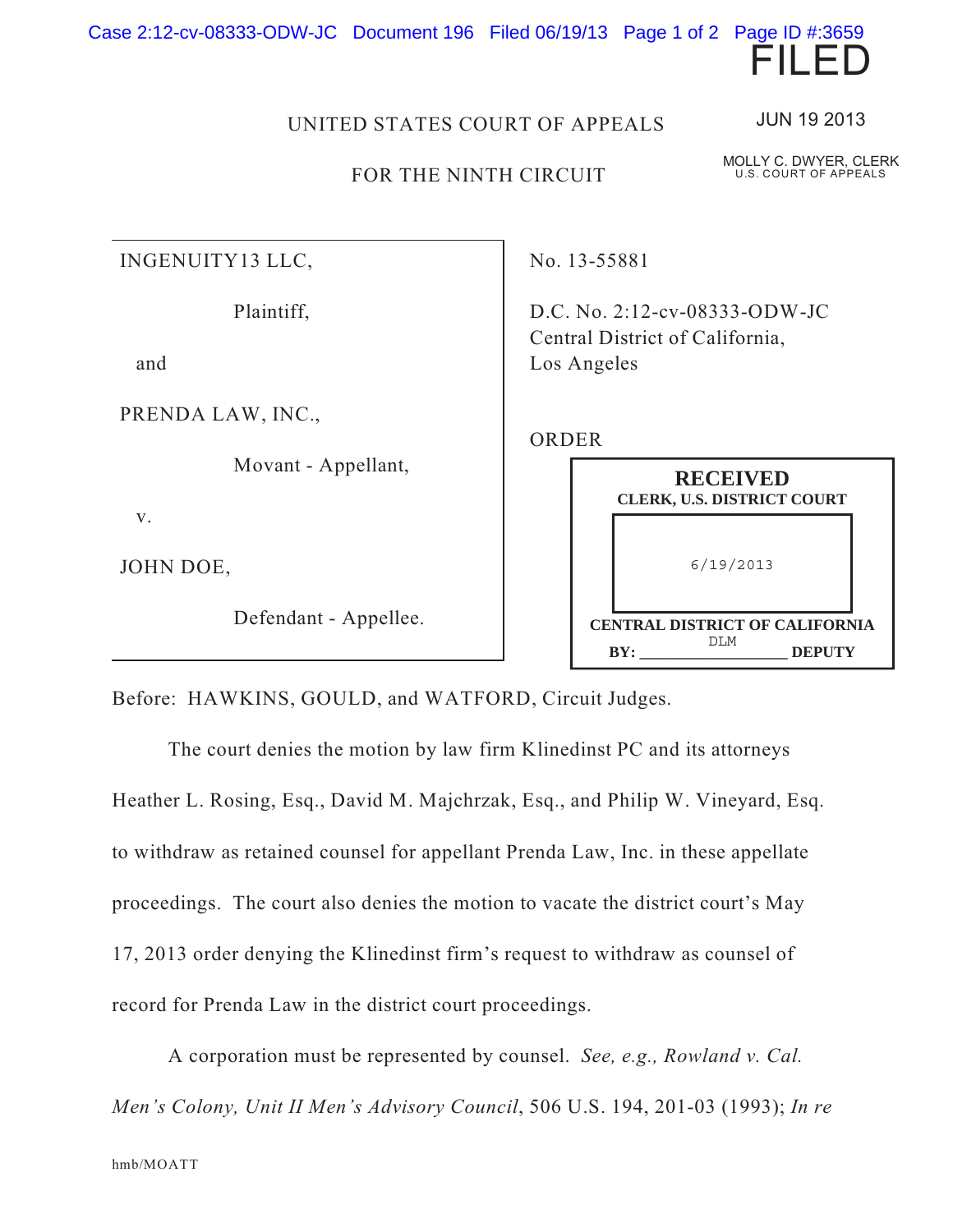

## FOR THE NINTH CIRCUIT

INGENUITY13 LLC,

Plaintiff,

and

PRENDA LAW, INC.,

Movant - Appellant,

v.

JOHN DOE,

Defendant - Appellee.

No. 13-55881

D.C. No. 2:12-cv-08333-ODW-JC Central District of California, Los Angeles

## ORDER

|            | <b>RECEIVED</b><br><b>CLERK, U.S. DISTRICT COURT</b> |               |
|------------|------------------------------------------------------|---------------|
|            | 6/19/2013                                            |               |
| <b>BY:</b> | <b>CENTRAL DISTRICT OF CALIFORNIA</b><br>DT.M        | <b>DEPUTY</b> |

Before: HAWKINS, GOULD, and WATFORD, Circuit Judges.

The court denies the motion by law firm Klinedinst PC and its attorneys Heather L. Rosing, Esq., David M. Majchrzak, Esq., and Philip W. Vineyard, Esq. to withdraw as retained counsel for appellant Prenda Law, Inc. in these appellate proceedings. The court also denies the motion to vacate the district court's May 17, 2013 order denying the Klinedinst firm's request to withdraw as counsel of record for Prenda Law in the district court proceedings.

A corporation must be represented by counsel. *See, e.g., Rowland v. Cal. Men's Colony, Unit II Men's Advisory Council*, 506 U.S. 194, 201-03 (1993); *In re*

JUN 19 2013

MOLLY C. DWYER, CLERK U.S. COURT OF APPEALS